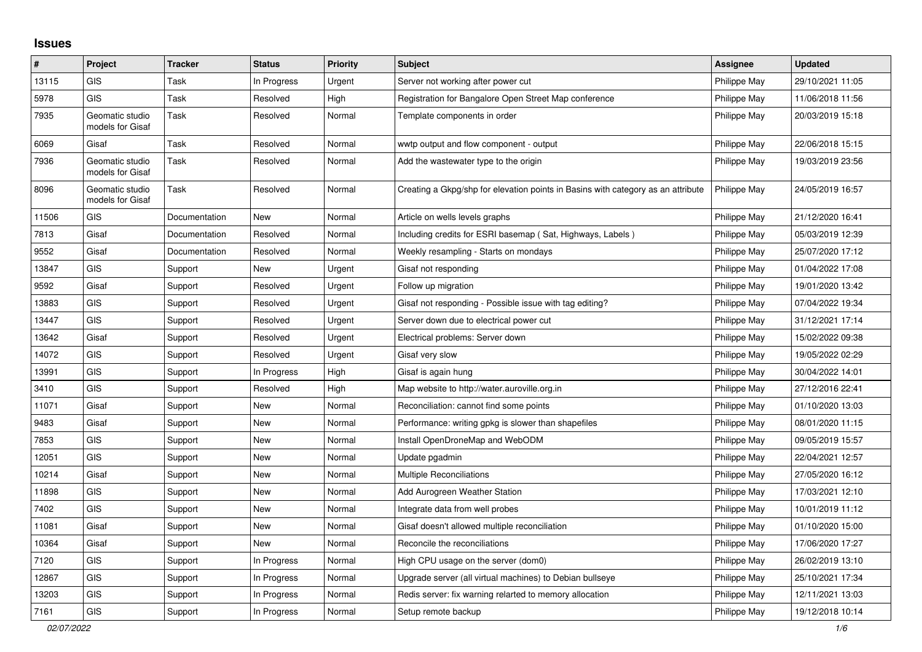## **Issues**

| #     | Project                             | <b>Tracker</b> | <b>Status</b> | <b>Priority</b> | <b>Subject</b>                                                                   | Assignee     | <b>Updated</b>   |
|-------|-------------------------------------|----------------|---------------|-----------------|----------------------------------------------------------------------------------|--------------|------------------|
| 13115 | <b>GIS</b>                          | Task           | In Progress   | Urgent          | Server not working after power cut                                               | Philippe May | 29/10/2021 11:05 |
| 5978  | <b>GIS</b>                          | Task           | Resolved      | High            | Registration for Bangalore Open Street Map conference                            | Philippe May | 11/06/2018 11:56 |
| 7935  | Geomatic studio<br>models for Gisaf | Task           | Resolved      | Normal          | Template components in order                                                     | Philippe May | 20/03/2019 15:18 |
| 6069  | Gisaf                               | Task           | Resolved      | Normal          | wwtp output and flow component - output                                          | Philippe May | 22/06/2018 15:15 |
| 7936  | Geomatic studio<br>models for Gisaf | Task           | Resolved      | Normal          | Add the wastewater type to the origin                                            | Philippe May | 19/03/2019 23:56 |
| 8096  | Geomatic studio<br>models for Gisaf | Task           | Resolved      | Normal          | Creating a Gkpg/shp for elevation points in Basins with category as an attribute | Philippe May | 24/05/2019 16:57 |
| 11506 | <b>GIS</b>                          | Documentation  | <b>New</b>    | Normal          | Article on wells levels graphs                                                   | Philippe May | 21/12/2020 16:41 |
| 7813  | Gisaf                               | Documentation  | Resolved      | Normal          | Including credits for ESRI basemap (Sat, Highways, Labels)                       | Philippe May | 05/03/2019 12:39 |
| 9552  | Gisaf                               | Documentation  | Resolved      | Normal          | Weekly resampling - Starts on mondays                                            | Philippe May | 25/07/2020 17:12 |
| 13847 | <b>GIS</b>                          | Support        | New           | Urgent          | Gisaf not responding                                                             | Philippe May | 01/04/2022 17:08 |
| 9592  | Gisaf                               | Support        | Resolved      | Urgent          | Follow up migration                                                              | Philippe May | 19/01/2020 13:42 |
| 13883 | <b>GIS</b>                          | Support        | Resolved      | Urgent          | Gisaf not responding - Possible issue with tag editing?                          | Philippe May | 07/04/2022 19:34 |
| 13447 | <b>GIS</b>                          | Support        | Resolved      | Urgent          | Server down due to electrical power cut                                          | Philippe May | 31/12/2021 17:14 |
| 13642 | Gisaf                               | Support        | Resolved      | Urgent          | Electrical problems: Server down                                                 | Philippe May | 15/02/2022 09:38 |
| 14072 | <b>GIS</b>                          | Support        | Resolved      | Urgent          | Gisaf very slow                                                                  | Philippe May | 19/05/2022 02:29 |
| 13991 | <b>GIS</b>                          | Support        | In Progress   | High            | Gisaf is again hung                                                              | Philippe May | 30/04/2022 14:01 |
| 3410  | <b>GIS</b>                          | Support        | Resolved      | High            | Map website to http://water.auroville.org.in                                     | Philippe May | 27/12/2016 22:41 |
| 11071 | Gisaf                               | Support        | New           | Normal          | Reconciliation: cannot find some points                                          | Philippe May | 01/10/2020 13:03 |
| 9483  | Gisaf                               | Support        | New           | Normal          | Performance: writing gpkg is slower than shapefiles                              | Philippe May | 08/01/2020 11:15 |
| 7853  | <b>GIS</b>                          | Support        | <b>New</b>    | Normal          | Install OpenDroneMap and WebODM                                                  | Philippe May | 09/05/2019 15:57 |
| 12051 | <b>GIS</b>                          | Support        | <b>New</b>    | Normal          | Update pgadmin                                                                   | Philippe May | 22/04/2021 12:57 |
| 10214 | Gisaf                               | Support        | New           | Normal          | <b>Multiple Reconciliations</b>                                                  | Philippe May | 27/05/2020 16:12 |
| 11898 | <b>GIS</b>                          | Support        | <b>New</b>    | Normal          | Add Aurogreen Weather Station                                                    | Philippe May | 17/03/2021 12:10 |
| 7402  | <b>GIS</b>                          | Support        | New           | Normal          | Integrate data from well probes                                                  | Philippe May | 10/01/2019 11:12 |
| 11081 | Gisaf                               | Support        | New           | Normal          | Gisaf doesn't allowed multiple reconciliation                                    | Philippe May | 01/10/2020 15:00 |
| 10364 | Gisaf                               | Support        | New           | Normal          | Reconcile the reconciliations                                                    | Philippe May | 17/06/2020 17:27 |
| 7120  | <b>GIS</b>                          | Support        | In Progress   | Normal          | High CPU usage on the server (dom0)                                              | Philippe May | 26/02/2019 13:10 |
| 12867 | <b>GIS</b>                          | Support        | In Progress   | Normal          | Upgrade server (all virtual machines) to Debian bullseye                         | Philippe May | 25/10/2021 17:34 |
| 13203 | <b>GIS</b>                          | Support        | In Progress   | Normal          | Redis server: fix warning relarted to memory allocation                          | Philippe May | 12/11/2021 13:03 |
| 7161  | <b>GIS</b>                          | Support        | In Progress   | Normal          | Setup remote backup                                                              | Philippe May | 19/12/2018 10:14 |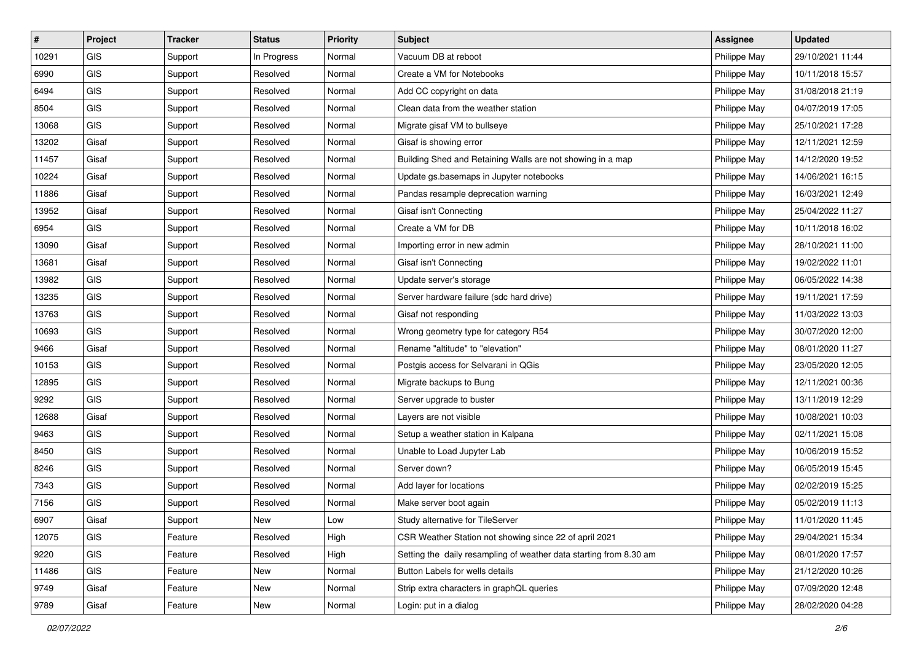| #     | Project    | <b>Tracker</b> | <b>Status</b> | <b>Priority</b> | <b>Subject</b>                                                     | <b>Assignee</b> | <b>Updated</b>   |
|-------|------------|----------------|---------------|-----------------|--------------------------------------------------------------------|-----------------|------------------|
| 10291 | GIS        | Support        | In Progress   | Normal          | Vacuum DB at reboot                                                | Philippe May    | 29/10/2021 11:44 |
| 6990  | <b>GIS</b> | Support        | Resolved      | Normal          | Create a VM for Notebooks                                          | Philippe May    | 10/11/2018 15:57 |
| 6494  | <b>GIS</b> | Support        | Resolved      | Normal          | Add CC copyright on data                                           | Philippe May    | 31/08/2018 21:19 |
| 8504  | GIS        | Support        | Resolved      | Normal          | Clean data from the weather station                                | Philippe May    | 04/07/2019 17:05 |
| 13068 | GIS        | Support        | Resolved      | Normal          | Migrate gisaf VM to bullseye                                       | Philippe May    | 25/10/2021 17:28 |
| 13202 | Gisaf      | Support        | Resolved      | Normal          | Gisaf is showing error                                             | Philippe May    | 12/11/2021 12:59 |
| 11457 | Gisaf      | Support        | Resolved      | Normal          | Building Shed and Retaining Walls are not showing in a map         | Philippe May    | 14/12/2020 19:52 |
| 10224 | Gisaf      | Support        | Resolved      | Normal          | Update gs.basemaps in Jupyter notebooks                            | Philippe May    | 14/06/2021 16:15 |
| 11886 | Gisaf      | Support        | Resolved      | Normal          | Pandas resample deprecation warning                                | Philippe May    | 16/03/2021 12:49 |
| 13952 | Gisaf      | Support        | Resolved      | Normal          | Gisaf isn't Connecting                                             | Philippe May    | 25/04/2022 11:27 |
| 6954  | GIS        | Support        | Resolved      | Normal          | Create a VM for DB                                                 | Philippe May    | 10/11/2018 16:02 |
| 13090 | Gisaf      | Support        | Resolved      | Normal          | Importing error in new admin                                       | Philippe May    | 28/10/2021 11:00 |
| 13681 | Gisaf      | Support        | Resolved      | Normal          | Gisaf isn't Connecting                                             | Philippe May    | 19/02/2022 11:01 |
| 13982 | GIS        | Support        | Resolved      | Normal          | Update server's storage                                            | Philippe May    | 06/05/2022 14:38 |
| 13235 | GIS        | Support        | Resolved      | Normal          | Server hardware failure (sdc hard drive)                           | Philippe May    | 19/11/2021 17:59 |
| 13763 | <b>GIS</b> | Support        | Resolved      | Normal          | Gisaf not responding                                               | Philippe May    | 11/03/2022 13:03 |
| 10693 | GIS        | Support        | Resolved      | Normal          | Wrong geometry type for category R54                               | Philippe May    | 30/07/2020 12:00 |
| 9466  | Gisaf      | Support        | Resolved      | Normal          | Rename "altitude" to "elevation"                                   | Philippe May    | 08/01/2020 11:27 |
| 10153 | <b>GIS</b> | Support        | Resolved      | Normal          | Postgis access for Selvarani in QGis                               | Philippe May    | 23/05/2020 12:05 |
| 12895 | <b>GIS</b> | Support        | Resolved      | Normal          | Migrate backups to Bung                                            | Philippe May    | 12/11/2021 00:36 |
| 9292  | GIS        | Support        | Resolved      | Normal          | Server upgrade to buster                                           | Philippe May    | 13/11/2019 12:29 |
| 12688 | Gisaf      | Support        | Resolved      | Normal          | Layers are not visible                                             | Philippe May    | 10/08/2021 10:03 |
| 9463  | GIS        | Support        | Resolved      | Normal          | Setup a weather station in Kalpana                                 | Philippe May    | 02/11/2021 15:08 |
| 8450  | GIS        | Support        | Resolved      | Normal          | Unable to Load Jupyter Lab                                         | Philippe May    | 10/06/2019 15:52 |
| 8246  | GIS        | Support        | Resolved      | Normal          | Server down?                                                       | Philippe May    | 06/05/2019 15:45 |
| 7343  | <b>GIS</b> | Support        | Resolved      | Normal          | Add layer for locations                                            | Philippe May    | 02/02/2019 15:25 |
| 7156  | GIS        | Support        | Resolved      | Normal          | Make server boot again                                             | Philippe May    | 05/02/2019 11:13 |
| 6907  | Gisaf      | Support        | New           | Low             | Study alternative for TileServer                                   | Philippe May    | 11/01/2020 11:45 |
| 12075 | <b>GIS</b> | Feature        | Resolved      | High            | CSR Weather Station not showing since 22 of april 2021             | Philippe May    | 29/04/2021 15:34 |
| 9220  | GIS        | Feature        | Resolved      | High            | Setting the daily resampling of weather data starting from 8.30 am | Philippe May    | 08/01/2020 17:57 |
| 11486 | <b>GIS</b> | Feature        | New           | Normal          | Button Labels for wells details                                    | Philippe May    | 21/12/2020 10:26 |
| 9749  | Gisaf      | Feature        | New           | Normal          | Strip extra characters in graphQL queries                          | Philippe May    | 07/09/2020 12:48 |
| 9789  | Gisaf      | Feature        | New           | Normal          | Login: put in a dialog                                             | Philippe May    | 28/02/2020 04:28 |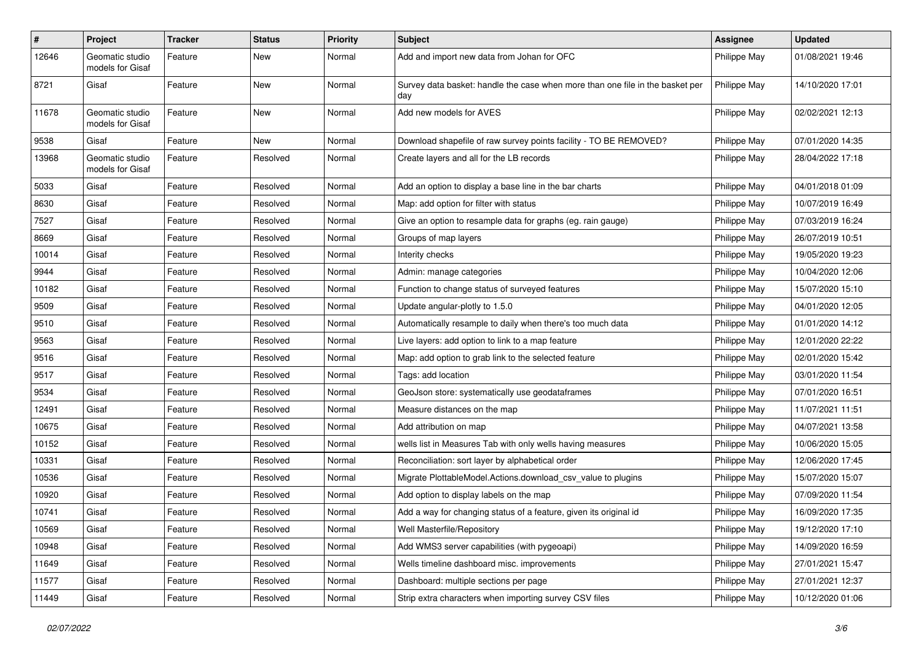| $\pmb{\#}$ | Project                             | <b>Tracker</b> | <b>Status</b> | <b>Priority</b> | Subject                                                                              | <b>Assignee</b> | <b>Updated</b>   |
|------------|-------------------------------------|----------------|---------------|-----------------|--------------------------------------------------------------------------------------|-----------------|------------------|
| 12646      | Geomatic studio<br>models for Gisaf | Feature        | New           | Normal          | Add and import new data from Johan for OFC                                           | Philippe May    | 01/08/2021 19:46 |
| 8721       | Gisaf                               | Feature        | New           | Normal          | Survey data basket: handle the case when more than one file in the basket per<br>day | Philippe May    | 14/10/2020 17:01 |
| 11678      | Geomatic studio<br>models for Gisaf | Feature        | <b>New</b>    | Normal          | Add new models for AVES                                                              | Philippe May    | 02/02/2021 12:13 |
| 9538       | Gisaf                               | Feature        | New           | Normal          | Download shapefile of raw survey points facility - TO BE REMOVED?                    | Philippe May    | 07/01/2020 14:35 |
| 13968      | Geomatic studio<br>models for Gisaf | Feature        | Resolved      | Normal          | Create layers and all for the LB records                                             | Philippe May    | 28/04/2022 17:18 |
| 5033       | Gisaf                               | Feature        | Resolved      | Normal          | Add an option to display a base line in the bar charts                               | Philippe May    | 04/01/2018 01:09 |
| 8630       | Gisaf                               | Feature        | Resolved      | Normal          | Map: add option for filter with status                                               | Philippe May    | 10/07/2019 16:49 |
| 7527       | Gisaf                               | Feature        | Resolved      | Normal          | Give an option to resample data for graphs (eg. rain gauge)                          | Philippe May    | 07/03/2019 16:24 |
| 8669       | Gisaf                               | Feature        | Resolved      | Normal          | Groups of map layers                                                                 | Philippe May    | 26/07/2019 10:51 |
| 10014      | Gisaf                               | Feature        | Resolved      | Normal          | Interity checks                                                                      | Philippe May    | 19/05/2020 19:23 |
| 9944       | Gisaf                               | Feature        | Resolved      | Normal          | Admin: manage categories                                                             | Philippe May    | 10/04/2020 12:06 |
| 10182      | Gisaf                               | Feature        | Resolved      | Normal          | Function to change status of surveyed features                                       | Philippe May    | 15/07/2020 15:10 |
| 9509       | Gisaf                               | Feature        | Resolved      | Normal          | Update angular-plotly to 1.5.0                                                       | Philippe May    | 04/01/2020 12:05 |
| 9510       | Gisaf                               | Feature        | Resolved      | Normal          | Automatically resample to daily when there's too much data                           | Philippe May    | 01/01/2020 14:12 |
| 9563       | Gisaf                               | Feature        | Resolved      | Normal          | Live layers: add option to link to a map feature                                     | Philippe May    | 12/01/2020 22:22 |
| 9516       | Gisaf                               | Feature        | Resolved      | Normal          | Map: add option to grab link to the selected feature                                 | Philippe May    | 02/01/2020 15:42 |
| 9517       | Gisaf                               | Feature        | Resolved      | Normal          | Tags: add location                                                                   | Philippe May    | 03/01/2020 11:54 |
| 9534       | Gisaf                               | Feature        | Resolved      | Normal          | GeoJson store: systematically use geodataframes                                      | Philippe May    | 07/01/2020 16:51 |
| 12491      | Gisaf                               | Feature        | Resolved      | Normal          | Measure distances on the map                                                         | Philippe May    | 11/07/2021 11:51 |
| 10675      | Gisaf                               | Feature        | Resolved      | Normal          | Add attribution on map                                                               | Philippe May    | 04/07/2021 13:58 |
| 10152      | Gisaf                               | Feature        | Resolved      | Normal          | wells list in Measures Tab with only wells having measures                           | Philippe May    | 10/06/2020 15:05 |
| 10331      | Gisaf                               | Feature        | Resolved      | Normal          | Reconciliation: sort layer by alphabetical order                                     | Philippe May    | 12/06/2020 17:45 |
| 10536      | Gisaf                               | Feature        | Resolved      | Normal          | Migrate PlottableModel.Actions.download csv value to plugins                         | Philippe May    | 15/07/2020 15:07 |
| 10920      | Gisaf                               | Feature        | Resolved      | Normal          | Add option to display labels on the map                                              | Philippe May    | 07/09/2020 11:54 |
| 10741      | Gisaf                               | Feature        | Resolved      | Normal          | Add a way for changing status of a feature, given its original id                    | Philippe May    | 16/09/2020 17:35 |
| 10569      | Gisaf                               | Feature        | Resolved      | Normal          | Well Masterfile/Repository                                                           | Philippe May    | 19/12/2020 17:10 |
| 10948      | Gisaf                               | Feature        | Resolved      | Normal          | Add WMS3 server capabilities (with pygeoapi)                                         | Philippe May    | 14/09/2020 16:59 |
| 11649      | Gisaf                               | Feature        | Resolved      | Normal          | Wells timeline dashboard misc. improvements                                          | Philippe May    | 27/01/2021 15:47 |
| 11577      | Gisaf                               | Feature        | Resolved      | Normal          | Dashboard: multiple sections per page                                                | Philippe May    | 27/01/2021 12:37 |
| 11449      | Gisaf                               | Feature        | Resolved      | Normal          | Strip extra characters when importing survey CSV files                               | Philippe May    | 10/12/2020 01:06 |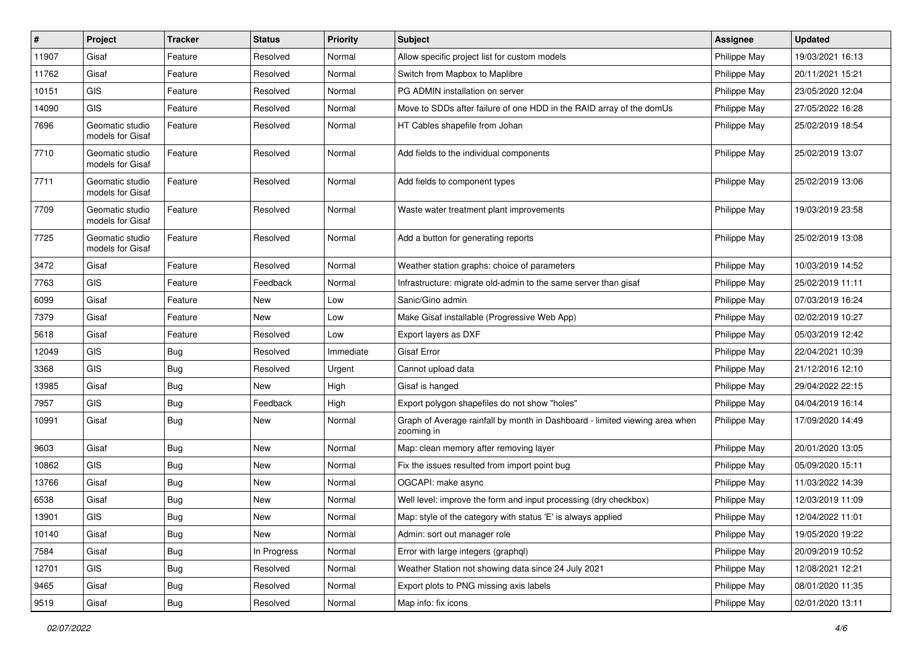| #     | Project                             | <b>Tracker</b> | <b>Status</b> | <b>Priority</b> | Subject                                                                                   | <b>Assignee</b> | <b>Updated</b>   |
|-------|-------------------------------------|----------------|---------------|-----------------|-------------------------------------------------------------------------------------------|-----------------|------------------|
| 11907 | Gisaf                               | Feature        | Resolved      | Normal          | Allow specific project list for custom models                                             | Philippe May    | 19/03/2021 16:13 |
| 11762 | Gisaf                               | Feature        | Resolved      | Normal          | Switch from Mapbox to Maplibre                                                            | Philippe May    | 20/11/2021 15:21 |
| 10151 | <b>GIS</b>                          | Feature        | Resolved      | Normal          | PG ADMIN installation on server                                                           | Philippe May    | 23/05/2020 12:04 |
| 14090 | GIS                                 | Feature        | Resolved      | Normal          | Move to SDDs after failure of one HDD in the RAID array of the domUs                      | Philippe May    | 27/05/2022 16:28 |
| 7696  | Geomatic studio<br>models for Gisaf | Feature        | Resolved      | Normal          | HT Cables shapefile from Johan                                                            | Philippe May    | 25/02/2019 18:54 |
| 7710  | Geomatic studio<br>models for Gisaf | Feature        | Resolved      | Normal          | Add fields to the individual components                                                   | Philippe May    | 25/02/2019 13:07 |
| 7711  | Geomatic studio<br>models for Gisaf | Feature        | Resolved      | Normal          | Add fields to component types                                                             | Philippe May    | 25/02/2019 13:06 |
| 7709  | Geomatic studio<br>models for Gisaf | Feature        | Resolved      | Normal          | Waste water treatment plant improvements                                                  | Philippe May    | 19/03/2019 23:58 |
| 7725  | Geomatic studio<br>models for Gisaf | Feature        | Resolved      | Normal          | Add a button for generating reports                                                       | Philippe May    | 25/02/2019 13:08 |
| 3472  | Gisaf                               | Feature        | Resolved      | Normal          | Weather station graphs: choice of parameters                                              | Philippe May    | 10/03/2019 14:52 |
| 7763  | GIS                                 | Feature        | Feedback      | Normal          | Infrastructure: migrate old-admin to the same server than gisaf                           | Philippe May    | 25/02/2019 11:11 |
| 6099  | Gisaf                               | Feature        | New           | Low             | Sanic/Gino admin                                                                          | Philippe May    | 07/03/2019 16:24 |
| 7379  | Gisaf                               | Feature        | <b>New</b>    | Low             | Make Gisaf installable (Progressive Web App)                                              | Philippe May    | 02/02/2019 10:27 |
| 5618  | Gisaf                               | Feature        | Resolved      | Low             | Export layers as DXF                                                                      | Philippe May    | 05/03/2019 12:42 |
| 12049 | GIS                                 | Bug            | Resolved      | Immediate       | <b>Gisaf Error</b>                                                                        | Philippe May    | 22/04/2021 10:39 |
| 3368  | <b>GIS</b>                          | <b>Bug</b>     | Resolved      | Urgent          | Cannot upload data                                                                        | Philippe May    | 21/12/2016 12:10 |
| 13985 | Gisaf                               | <b>Bug</b>     | New           | High            | Gisaf is hanged                                                                           | Philippe May    | 29/04/2022 22:15 |
| 7957  | <b>GIS</b>                          | <b>Bug</b>     | Feedback      | High            | Export polygon shapefiles do not show "holes"                                             | Philippe May    | 04/04/2019 16:14 |
| 10991 | Gisaf                               | Bug            | New           | Normal          | Graph of Average rainfall by month in Dashboard - limited viewing area when<br>zooming in | Philippe May    | 17/09/2020 14:49 |
| 9603  | Gisaf                               | <b>Bug</b>     | <b>New</b>    | Normal          | Map: clean memory after removing layer                                                    | Philippe May    | 20/01/2020 13:05 |
| 10862 | GIS                                 | Bug            | New           | Normal          | Fix the issues resulted from import point bug                                             | Philippe May    | 05/09/2020 15:11 |
| 13766 | Gisaf                               | Bug            | New           | Normal          | OGCAPI: make async                                                                        | Philippe May    | 11/03/2022 14:39 |
| 6538  | Gisaf                               | <b>Bug</b>     | <b>New</b>    | Normal          | Well level: improve the form and input processing (dry checkbox)                          | Philippe May    | 12/03/2019 11:09 |
| 13901 | GIS                                 | Bug            | New           | Normal          | Map: style of the category with status 'E' is always applied                              | Philippe May    | 12/04/2022 11:01 |
| 10140 | Gisaf                               | Bug            | New           | Normal          | Admin: sort out manager role                                                              | Philippe May    | 19/05/2020 19:22 |
| 7584  | Gisaf                               | Bug            | In Progress   | Normal          | Error with large integers (graphql)                                                       | Philippe May    | 20/09/2019 10:52 |
| 12701 | GIS                                 | <b>Bug</b>     | Resolved      | Normal          | Weather Station not showing data since 24 July 2021                                       | Philippe May    | 12/08/2021 12:21 |
| 9465  | Gisaf                               | <b>Bug</b>     | Resolved      | Normal          | Export plots to PNG missing axis labels                                                   | Philippe May    | 08/01/2020 11:35 |
| 9519  | Gisaf                               | Bug            | Resolved      | Normal          | Map info: fix icons                                                                       | Philippe May    | 02/01/2020 13:11 |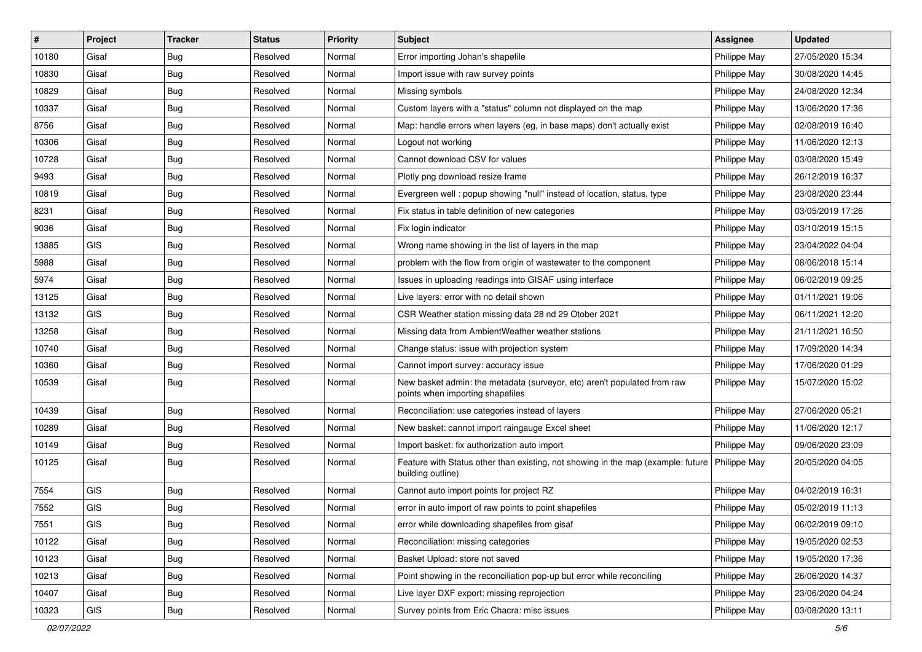| #     | Project    | <b>Tracker</b> | <b>Status</b> | Priority | <b>Subject</b>                                                                                               | <b>Assignee</b> | <b>Updated</b>   |
|-------|------------|----------------|---------------|----------|--------------------------------------------------------------------------------------------------------------|-----------------|------------------|
| 10180 | Gisaf      | <b>Bug</b>     | Resolved      | Normal   | Error importing Johan's shapefile                                                                            | Philippe May    | 27/05/2020 15:34 |
| 10830 | Gisaf      | Bug            | Resolved      | Normal   | Import issue with raw survey points                                                                          | Philippe May    | 30/08/2020 14:45 |
| 10829 | Gisaf      | <b>Bug</b>     | Resolved      | Normal   | Missing symbols                                                                                              | Philippe May    | 24/08/2020 12:34 |
| 10337 | Gisaf      | Bug            | Resolved      | Normal   | Custom layers with a "status" column not displayed on the map                                                | Philippe May    | 13/06/2020 17:36 |
| 8756  | Gisaf      | Bug            | Resolved      | Normal   | Map: handle errors when layers (eg, in base maps) don't actually exist                                       | Philippe May    | 02/08/2019 16:40 |
| 10306 | Gisaf      | Bug            | Resolved      | Normal   | Logout not working                                                                                           | Philippe May    | 11/06/2020 12:13 |
| 10728 | Gisaf      | Bug            | Resolved      | Normal   | Cannot download CSV for values                                                                               | Philippe May    | 03/08/2020 15:49 |
| 9493  | Gisaf      | Bug            | Resolved      | Normal   | Plotly png download resize frame                                                                             | Philippe May    | 26/12/2019 16:37 |
| 10819 | Gisaf      | Bug            | Resolved      | Normal   | Evergreen well: popup showing "null" instead of location, status, type                                       | Philippe May    | 23/08/2020 23:44 |
| 8231  | Gisaf      | <b>Bug</b>     | Resolved      | Normal   | Fix status in table definition of new categories                                                             | Philippe May    | 03/05/2019 17:26 |
| 9036  | Gisaf      | <b>Bug</b>     | Resolved      | Normal   | Fix login indicator                                                                                          | Philippe May    | 03/10/2019 15:15 |
| 13885 | GIS        | <b>Bug</b>     | Resolved      | Normal   | Wrong name showing in the list of layers in the map                                                          | Philippe May    | 23/04/2022 04:04 |
| 5988  | Gisaf      | <b>Bug</b>     | Resolved      | Normal   | problem with the flow from origin of wastewater to the component                                             | Philippe May    | 08/06/2018 15:14 |
| 5974  | Gisaf      | <b>Bug</b>     | Resolved      | Normal   | Issues in uploading readings into GISAF using interface                                                      | Philippe May    | 06/02/2019 09:25 |
| 13125 | Gisaf      | <b>Bug</b>     | Resolved      | Normal   | Live layers: error with no detail shown                                                                      | Philippe May    | 01/11/2021 19:06 |
| 13132 | <b>GIS</b> | Bug            | Resolved      | Normal   | CSR Weather station missing data 28 nd 29 Otober 2021                                                        | Philippe May    | 06/11/2021 12:20 |
| 13258 | Gisaf      | Bug            | Resolved      | Normal   | Missing data from AmbientWeather weather stations                                                            | Philippe May    | 21/11/2021 16:50 |
| 10740 | Gisaf      | <b>Bug</b>     | Resolved      | Normal   | Change status: issue with projection system                                                                  | Philippe May    | 17/09/2020 14:34 |
| 10360 | Gisaf      | Bug            | Resolved      | Normal   | Cannot import survey: accuracy issue                                                                         | Philippe May    | 17/06/2020 01:29 |
| 10539 | Gisaf      | <b>Bug</b>     | Resolved      | Normal   | New basket admin: the metadata (surveyor, etc) aren't populated from raw<br>points when importing shapefiles | Philippe May    | 15/07/2020 15:02 |
| 10439 | Gisaf      | <b>Bug</b>     | Resolved      | Normal   | Reconciliation: use categories instead of layers                                                             | Philippe May    | 27/06/2020 05:21 |
| 10289 | Gisaf      | <b>Bug</b>     | Resolved      | Normal   | New basket: cannot import raingauge Excel sheet                                                              | Philippe May    | 11/06/2020 12:17 |
| 10149 | Gisaf      | <b>Bug</b>     | Resolved      | Normal   | Import basket: fix authorization auto import                                                                 | Philippe May    | 09/06/2020 23:09 |
| 10125 | Gisaf      | Bug            | Resolved      | Normal   | Feature with Status other than existing, not showing in the map (example: future<br>building outline)        | Philippe May    | 20/05/2020 04:05 |
| 7554  | <b>GIS</b> | <b>Bug</b>     | Resolved      | Normal   | Cannot auto import points for project RZ                                                                     | Philippe May    | 04/02/2019 16:31 |
| 7552  | GIS        | <b>Bug</b>     | Resolved      | Normal   | error in auto import of raw points to point shapefiles                                                       | Philippe May    | 05/02/2019 11:13 |
| 7551  | GIS        | Bug            | Resolved      | Normal   | error while downloading shapefiles from gisaf                                                                | Philippe May    | 06/02/2019 09:10 |
| 10122 | Gisaf      | Bug            | Resolved      | Normal   | Reconciliation: missing categories                                                                           | Philippe May    | 19/05/2020 02:53 |
| 10123 | Gisaf      | <b>Bug</b>     | Resolved      | Normal   | Basket Upload: store not saved                                                                               | Philippe May    | 19/05/2020 17:36 |
| 10213 | Gisaf      | <b>Bug</b>     | Resolved      | Normal   | Point showing in the reconciliation pop-up but error while reconciling                                       | Philippe May    | 26/06/2020 14:37 |
| 10407 | Gisaf      | <b>Bug</b>     | Resolved      | Normal   | Live layer DXF export: missing reprojection                                                                  | Philippe May    | 23/06/2020 04:24 |
| 10323 | GIS        | <b>Bug</b>     | Resolved      | Normal   | Survey points from Eric Chacra: misc issues                                                                  | Philippe May    | 03/08/2020 13:11 |